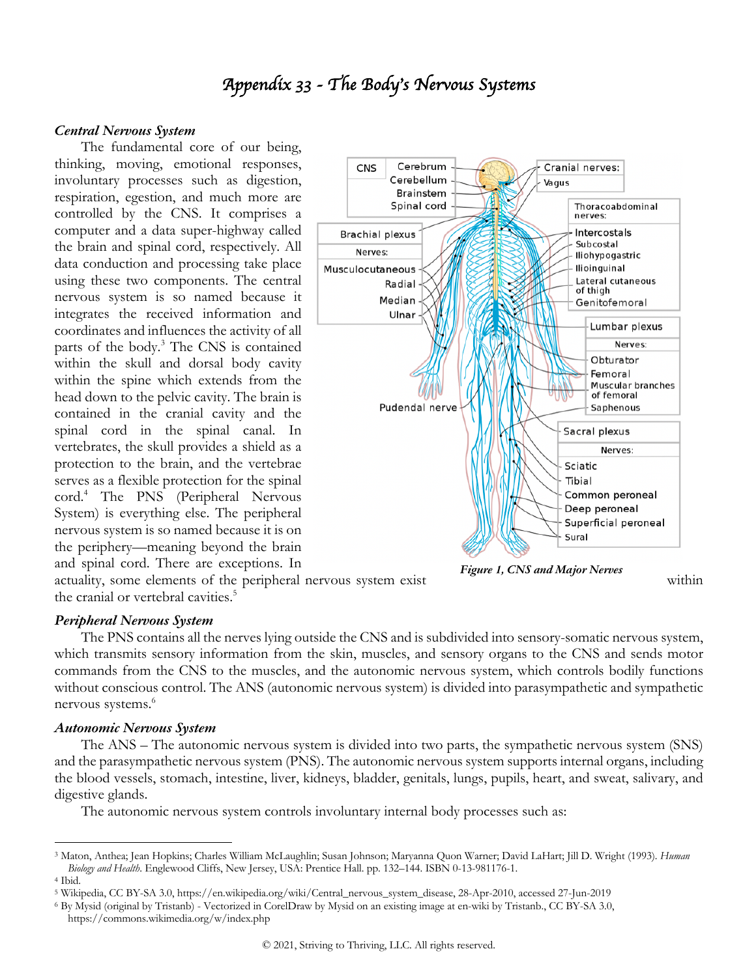# *Appendix 33 - The Body*'*s Nervous Systems*

#### *Central Nervous System*

The fundamental core of our being, thinking, moving, emotional responses, involuntary processes such as digestion, respiration, egestion, and much more are controlled by the CNS. It comprises a computer and a data super-highway called the brain and spinal cord, respectively. All data conduction and processing take place using these two components. The central nervous system is so named because it integrates the received information and coordinates and influences the activity of all parts of the body.3 The CNS is contained within the skull and dorsal body cavity within the spine which extends from the head down to the pelvic cavity. The brain is contained in the cranial cavity and the spinal cord in the spinal canal. In vertebrates, the skull provides a shield as a protection to the brain, and the vertebrae serves as a flexible protection for the spinal cord.4 The PNS (Peripheral Nervous System) is everything else. The peripheral nervous system is so named because it is on the periphery—meaning beyond the brain and spinal cord. There are exceptions. In



*Figure 1, CNS and Major Nerves*

actuality, some elements of the peripheral nervous system exist within the cranial or vertebral cavities.<sup>5</sup>

## *Peripheral Nervous System*

The PNS contains all the nerves lying outside the CNS and is subdivided into sensory-somatic nervous system, which transmits sensory information from the skin, muscles, and sensory organs to the CNS and sends motor commands from the CNS to the muscles, and the autonomic nervous system, which controls bodily functions without conscious control. The ANS (autonomic nervous system) is divided into parasympathetic and sympathetic nervous systems.<sup>6</sup>

#### *Autonomic Nervous System*

The ANS – The autonomic nervous system is divided into two parts, the sympathetic nervous system (SNS) and the parasympathetic nervous system (PNS). The autonomic nervous system supports internal organs, including the blood vessels, stomach, intestine, liver, kidneys, bladder, genitals, lungs, pupils, heart, and sweat, salivary, and digestive glands.

The autonomic nervous system controls involuntary internal body processes such as:

<sup>3</sup> Maton, Anthea; Jean Hopkins; Charles William McLaughlin; Susan Johnson; Maryanna Quon Warner; David LaHart; Jill D. Wright (1993). *Human Biology and Health*. Englewood Cliffs, New Jersey, USA: Prentice Hall. pp. 132–144. ISBN 0-13-981176-1. <sup>4</sup> Ibid.

<sup>5</sup> Wikipedia, CC BY-SA 3.0, https://en.wikipedia.org/wiki/Central\_nervous\_system\_disease, 28-Apr-2010, accessed 27-Jun-2019

<sup>6</sup> By Mysid (original by Tristanb) - Vectorized in CorelDraw by Mysid on an existing image at en-wiki by Tristanb., CC BY-SA 3.0, https://commons.wikimedia.org/w/index.php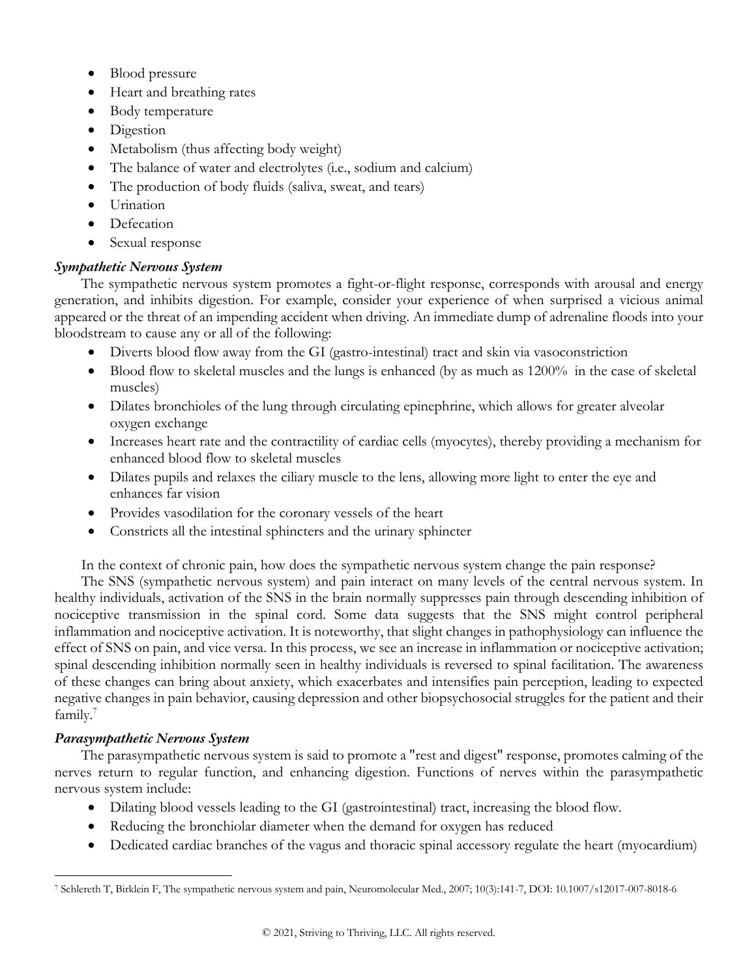- Blood pressure
- Heart and breathing rates
- Body temperature
- Digestion
- Metabolism (thus affecting body weight)
- The balance of water and electrolytes (i.e., sodium and calcium)
- The production of body fluids (saliva, sweat, and tears)
- Urination
- **Defecation**
- Sexual response

# *Sympathetic Nervous System*

The sympathetic nervous system promotes a fight-or-flight response, corresponds with arousal and energy generation, and inhibits digestion. For example, consider your experience of when surprised a vicious animal appeared or the threat of an impending accident when driving. An immediate dump of adrenaline floods into your bloodstream to cause any or all of the following:

- Diverts blood flow away from the GI (gastro-intestinal) tract and skin via vasoconstriction
- Blood flow to skeletal muscles and the lungs is enhanced (by as much as 1200% in the case of skeletal muscles)
- Dilates bronchioles of the lung through circulating epinephrine, which allows for greater alveolar oxygen exchange
- Increases heart rate and the contractility of cardiac cells (myocytes), thereby providing a mechanism for enhanced blood flow to skeletal muscles
- Dilates pupils and relaxes the ciliary muscle to the lens, allowing more light to enter the eye and enhances far vision
- Provides vasodilation for the coronary vessels of the heart
- Constricts all the intestinal sphincters and the urinary sphincter

In the context of chronic pain, how does the sympathetic nervous system change the pain response?

The SNS (sympathetic nervous system) and pain interact on many levels of the central nervous system. In healthy individuals, activation of the SNS in the brain normally suppresses pain through descending inhibition of nociceptive transmission in the spinal cord. Some data suggests that the SNS might control peripheral inflammation and nociceptive activation. It is noteworthy, that slight changes in pathophysiology can influence the effect of SNS on pain, and vice versa. In this process, we see an increase in inflammation or nociceptive activation; spinal descending inhibition normally seen in healthy individuals is reversed to spinal facilitation. The awareness of these changes can bring about anxiety, which exacerbates and intensifies pain perception, leading to expected negative changes in pain behavior, causing depression and other biopsychosocial struggles for the patient and their family.<sup>7</sup>

# *Parasympathetic Nervous System*

The parasympathetic nervous system is said to promote a "rest and digest" response, promotes calming of the nerves return to regular function, and enhancing digestion. Functions of nerves within the parasympathetic nervous system include:

- Dilating blood vessels leading to the GI (gastrointestinal) tract, increasing the blood flow.
- Reducing the bronchiolar diameter when the demand for oxygen has reduced
- Dedicated cardiac branches of the vagus and thoracic spinal accessory regulate the heart (myocardium)

<sup>7</sup> Schlereth T, Birklein F, The sympathetic nervous system and pain, Neuromolecular Med., 2007; 10(3):141-7, DOI: 10.1007/s12017-007-8018-6